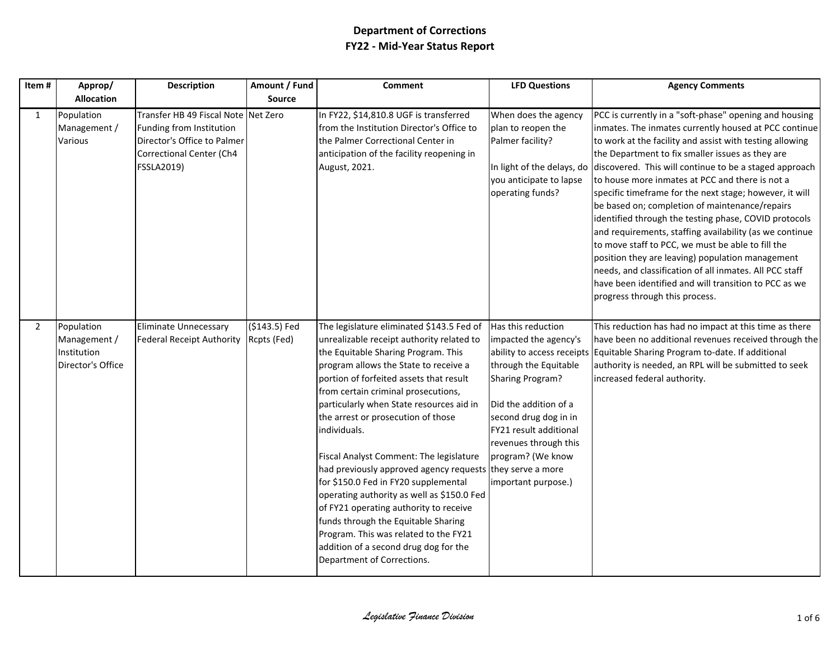| Item#          | Approp/                                                        | <b>Description</b>                                                                                                                       | Amount / Fund                | <b>Comment</b>                                                                                                                                                                                                                                                                                                                                                                                                                                                                                                                                                                                                                                                                                                                                            | <b>LFD Questions</b>                                                                                                                                                                                                                             | <b>Agency Comments</b>                                                                                                                                                                                                                                                                                                                                                                                                                                                                                                                                                                                                                                                                                                                                                                                                                                                  |
|----------------|----------------------------------------------------------------|------------------------------------------------------------------------------------------------------------------------------------------|------------------------------|-----------------------------------------------------------------------------------------------------------------------------------------------------------------------------------------------------------------------------------------------------------------------------------------------------------------------------------------------------------------------------------------------------------------------------------------------------------------------------------------------------------------------------------------------------------------------------------------------------------------------------------------------------------------------------------------------------------------------------------------------------------|--------------------------------------------------------------------------------------------------------------------------------------------------------------------------------------------------------------------------------------------------|-------------------------------------------------------------------------------------------------------------------------------------------------------------------------------------------------------------------------------------------------------------------------------------------------------------------------------------------------------------------------------------------------------------------------------------------------------------------------------------------------------------------------------------------------------------------------------------------------------------------------------------------------------------------------------------------------------------------------------------------------------------------------------------------------------------------------------------------------------------------------|
|                | <b>Allocation</b>                                              |                                                                                                                                          | <b>Source</b>                |                                                                                                                                                                                                                                                                                                                                                                                                                                                                                                                                                                                                                                                                                                                                                           |                                                                                                                                                                                                                                                  |                                                                                                                                                                                                                                                                                                                                                                                                                                                                                                                                                                                                                                                                                                                                                                                                                                                                         |
| $\mathbf{1}$   | Population<br>Management /<br>Various                          | Transfer HB 49 Fiscal Note Net Zero<br>Funding from Institution<br>Director's Office to Palmer<br>Correctional Center (Ch4<br>FSSLA2019) |                              | In FY22, \$14,810.8 UGF is transferred<br>from the Institution Director's Office to<br>the Palmer Correctional Center in<br>anticipation of the facility reopening in<br>August, 2021.                                                                                                                                                                                                                                                                                                                                                                                                                                                                                                                                                                    | When does the agency<br>plan to reopen the<br>Palmer facility?<br>you anticipate to lapse<br>operating funds?                                                                                                                                    | PCC is currently in a "soft-phase" opening and housing<br>inmates. The inmates currently housed at PCC continue<br>to work at the facility and assist with testing allowing<br>the Department to fix smaller issues as they are<br>In light of the delays, do discovered. This will continue to be a staged approach<br>to house more inmates at PCC and there is not a<br>specific timeframe for the next stage; however, it will<br>be based on; completion of maintenance/repairs<br>identified through the testing phase, COVID protocols<br>and requirements, staffing availability (as we continue<br>to move staff to PCC, we must be able to fill the<br>position they are leaving) population management<br>needs, and classification of all inmates. All PCC staff<br>have been identified and will transition to PCC as we<br>progress through this process. |
| $\overline{2}$ | Population<br>Management /<br>Institution<br>Director's Office | <b>Eliminate Unnecessary</b><br><b>Federal Receipt Authority</b>                                                                         | (\$143.5) Fed<br>Rcpts (Fed) | The legislature eliminated \$143.5 Fed of<br>unrealizable receipt authority related to<br>the Equitable Sharing Program. This<br>program allows the State to receive a<br>portion of forfeited assets that result<br>from certain criminal prosecutions,<br>particularly when State resources aid in<br>the arrest or prosecution of those<br>individuals.<br>Fiscal Analyst Comment: The legislature<br>had previously approved agency requests they serve a more<br>for \$150.0 Fed in FY20 supplemental<br>operating authority as well as \$150.0 Fed<br>of FY21 operating authority to receive<br>funds through the Equitable Sharing<br>Program. This was related to the FY21<br>addition of a second drug dog for the<br>Department of Corrections. | Has this reduction<br>impacted the agency's<br>through the Equitable<br><b>Sharing Program?</b><br>Did the addition of a<br>second drug dog in in<br>FY21 result additional<br>revenues through this<br>program? (We know<br>important purpose.) | This reduction has had no impact at this time as there<br>have been no additional revenues received through the<br>ability to access receipts Equitable Sharing Program to-date. If additional<br>authority is needed, an RPL will be submitted to seek<br>increased federal authority.                                                                                                                                                                                                                                                                                                                                                                                                                                                                                                                                                                                 |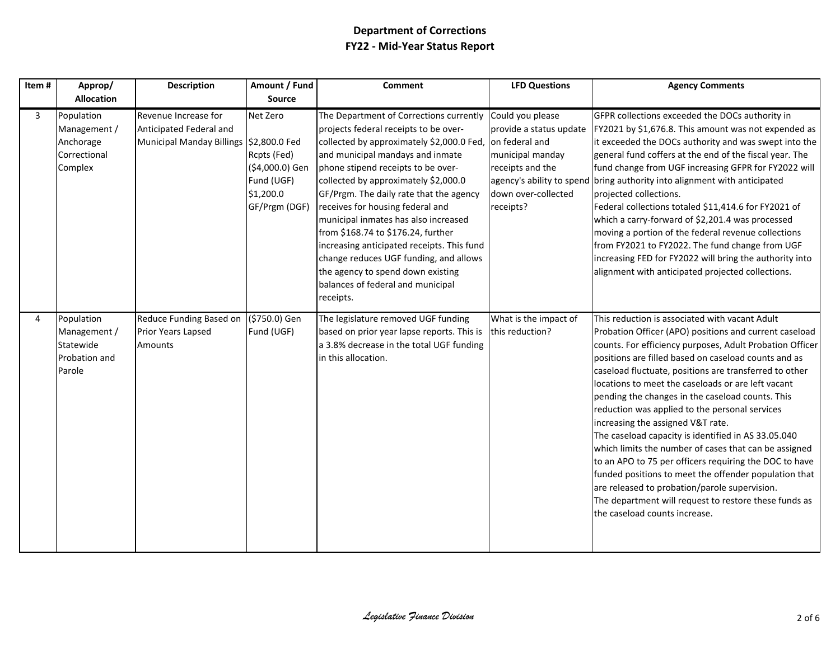| Item# | Approp/                                                                   | Description                                                                                | Amount / Fund                                                                          | <b>Comment</b>                                                                                                                                                                                                                                                                                                                                                                                                                                                                                                                                                                              | <b>LFD Questions</b>                                                                                                                                                   | <b>Agency Comments</b>                                                                                                                                                                                                                                                                                                                                                                                                                                                                                                                                                                                                                                                                                                                                                                                                                                                |
|-------|---------------------------------------------------------------------------|--------------------------------------------------------------------------------------------|----------------------------------------------------------------------------------------|---------------------------------------------------------------------------------------------------------------------------------------------------------------------------------------------------------------------------------------------------------------------------------------------------------------------------------------------------------------------------------------------------------------------------------------------------------------------------------------------------------------------------------------------------------------------------------------------|------------------------------------------------------------------------------------------------------------------------------------------------------------------------|-----------------------------------------------------------------------------------------------------------------------------------------------------------------------------------------------------------------------------------------------------------------------------------------------------------------------------------------------------------------------------------------------------------------------------------------------------------------------------------------------------------------------------------------------------------------------------------------------------------------------------------------------------------------------------------------------------------------------------------------------------------------------------------------------------------------------------------------------------------------------|
|       | <b>Allocation</b>                                                         |                                                                                            | Source                                                                                 |                                                                                                                                                                                                                                                                                                                                                                                                                                                                                                                                                                                             |                                                                                                                                                                        |                                                                                                                                                                                                                                                                                                                                                                                                                                                                                                                                                                                                                                                                                                                                                                                                                                                                       |
| 3     | Population<br>Management /<br>Anchorage<br>Correctional<br>Complex        | Revenue Increase for<br>Anticipated Federal and<br>Municipal Manday Billings \$2,800.0 Fed | Net Zero<br>Rcpts (Fed)<br>(\$4,000.0) Gen<br>Fund (UGF)<br>\$1,200.0<br>GF/Prgm (DGF) | The Department of Corrections currently<br>projects federal receipts to be over-<br>collected by approximately \$2,000.0 Fed,<br>and municipal mandays and inmate<br>phone stipend receipts to be over-<br>collected by approximately \$2,000.0<br>GF/Prgm. The daily rate that the agency<br>receives for housing federal and<br>municipal inmates has also increased<br>from \$168.74 to \$176.24, further<br>increasing anticipated receipts. This fund<br>change reduces UGF funding, and allows<br>the agency to spend down existing<br>balances of federal and municipal<br>receipts. | Could you please<br>provide a status update<br>on federal and<br>municipal manday<br>receipts and the<br>agency's ability to spend<br>down over-collected<br>receipts? | GFPR collections exceeded the DOCs authority in<br>FY2021 by \$1,676.8. This amount was not expended as<br>it exceeded the DOCs authority and was swept into the<br>general fund coffers at the end of the fiscal year. The<br>fund change from UGF increasing GFPR for FY2022 will<br>bring authority into alignment with anticipated<br>projected collections.<br>Federal collections totaled \$11,414.6 for FY2021 of<br>which a carry-forward of \$2,201.4 was processed<br>moving a portion of the federal revenue collections<br>from FY2021 to FY2022. The fund change from UGF<br>increasing FED for FY2022 will bring the authority into<br>alignment with anticipated projected collections.                                                                                                                                                                |
| 4     | Population<br>Management /<br>Statewide<br><b>Probation and</b><br>Parole | Reduce Funding Based on<br>Prior Years Lapsed<br>Amounts                                   | (\$750.0) Gen<br>Fund (UGF)                                                            | The legislature removed UGF funding<br>based on prior year lapse reports. This is<br>a 3.8% decrease in the total UGF funding<br>in this allocation.                                                                                                                                                                                                                                                                                                                                                                                                                                        | What is the impact of<br>this reduction?                                                                                                                               | This reduction is associated with vacant Adult<br>Probation Officer (APO) positions and current caseload<br>counts. For efficiency purposes, Adult Probation Officer<br>positions are filled based on caseload counts and as<br>caseload fluctuate, positions are transferred to other<br>locations to meet the caseloads or are left vacant<br>pending the changes in the caseload counts. This<br>reduction was applied to the personal services<br>increasing the assigned V&T rate.<br>The caseload capacity is identified in AS 33.05.040<br>which limits the number of cases that can be assigned<br>to an APO to 75 per officers requiring the DOC to have<br>funded positions to meet the offender population that<br>are released to probation/parole supervision.<br>The department will request to restore these funds as<br>the caseload counts increase. |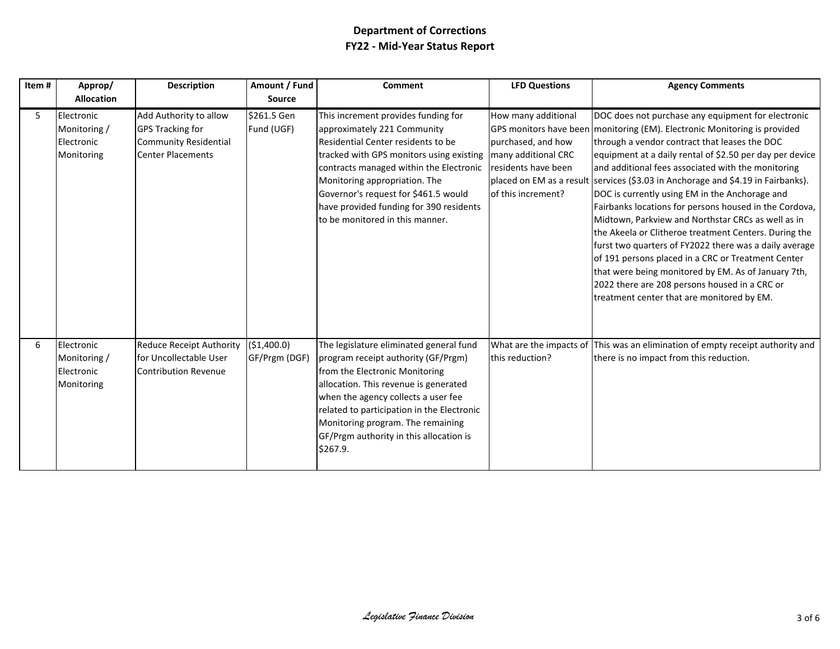| Item# | Approp/<br><b>Allocation</b>                           | <b>Description</b>                                                                                            | Amount / Fund<br><b>Source</b> | <b>Comment</b>                                                                                                                                                                                                                                                                                                                                         | <b>LFD Questions</b>                                                                                          | <b>Agency Comments</b>                                                                                                                                                                                                                                                                                                                                                                                                                                                                                                                                                                                                                                                                                                                                                                                                                                                                  |
|-------|--------------------------------------------------------|---------------------------------------------------------------------------------------------------------------|--------------------------------|--------------------------------------------------------------------------------------------------------------------------------------------------------------------------------------------------------------------------------------------------------------------------------------------------------------------------------------------------------|---------------------------------------------------------------------------------------------------------------|-----------------------------------------------------------------------------------------------------------------------------------------------------------------------------------------------------------------------------------------------------------------------------------------------------------------------------------------------------------------------------------------------------------------------------------------------------------------------------------------------------------------------------------------------------------------------------------------------------------------------------------------------------------------------------------------------------------------------------------------------------------------------------------------------------------------------------------------------------------------------------------------|
| 5     | Electronic<br>Monitoring /<br>Electronic<br>Monitoring | Add Authority to allow<br><b>GPS Tracking for</b><br><b>Community Residential</b><br><b>Center Placements</b> | \$261.5 Gen<br>Fund (UGF)      | This increment provides funding for<br>approximately 221 Community<br>Residential Center residents to be<br>tracked with GPS monitors using existing<br>contracts managed within the Electronic<br>Monitoring appropriation. The<br>Governor's request for \$461.5 would<br>have provided funding for 390 residents<br>to be monitored in this manner. | How many additional<br>purchased, and how<br>many additional CRC<br>residents have been<br>of this increment? | DOC does not purchase any equipment for electronic<br>GPS monitors have been monitoring (EM). Electronic Monitoring is provided<br>through a vendor contract that leases the DOC<br>equipment at a daily rental of \$2.50 per day per device<br>and additional fees associated with the monitoring<br>placed on EM as a result services (\$3.03 in Anchorage and \$4.19 in Fairbanks).<br>DOC is currently using EM in the Anchorage and<br>Fairbanks locations for persons housed in the Cordova,<br>Midtown, Parkview and Northstar CRCs as well as in<br>the Akeela or Clitheroe treatment Centers. During the<br>furst two quarters of FY2022 there was a daily average<br>of 191 persons placed in a CRC or Treatment Center<br>that were being monitored by EM. As of January 7th,<br>2022 there are 208 persons housed in a CRC or<br>treatment center that are monitored by EM. |
| 6     | Electronic<br>Monitoring /<br>Electronic<br>Monitoring | <b>Reduce Receipt Authority</b><br>for Uncollectable User<br><b>Contribution Revenue</b>                      | (\$1,400.0)<br>GF/Prgm (DGF)   | The legislature eliminated general fund<br>program receipt authority (GF/Prgm)<br>from the Electronic Monitoring<br>allocation. This revenue is generated<br>when the agency collects a user fee<br>related to participation in the Electronic<br>Monitoring program. The remaining<br>GF/Prgm authority in this allocation is<br>\$267.9.             | this reduction?                                                                                               | What are the impacts of This was an elimination of empty receipt authority and<br>there is no impact from this reduction.                                                                                                                                                                                                                                                                                                                                                                                                                                                                                                                                                                                                                                                                                                                                                               |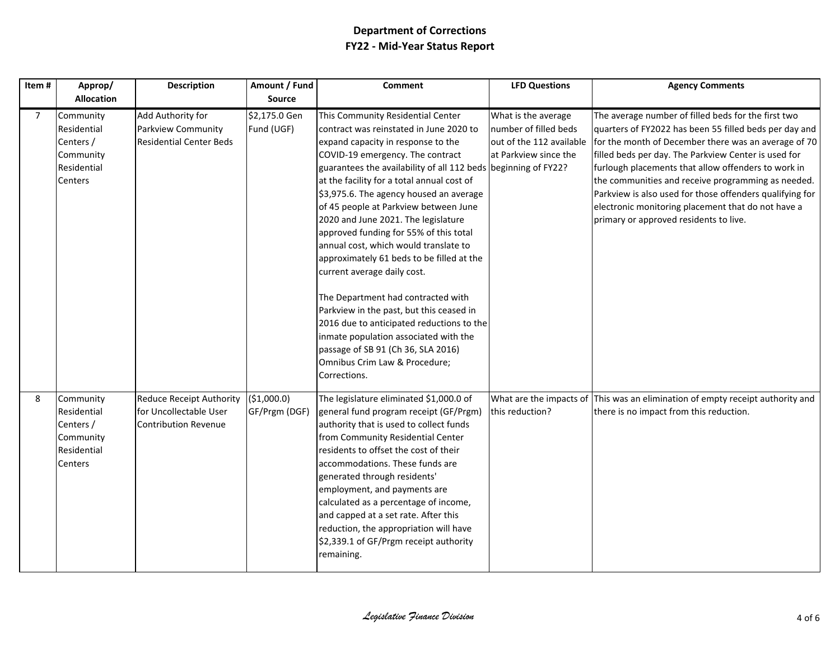| Item#          | Approp/                                                                      | <b>Description</b>                                                                       | Amount / Fund                | <b>Comment</b>                                                                                                                                                                                                                                                                                                                                                                                                                                                                                                                                                                                                                                                                                                                                                                                                                  | <b>LFD Questions</b>                                                                              | <b>Agency Comments</b>                                                                                                                                                                                                                                                                                                                                                                                                                                                                                 |
|----------------|------------------------------------------------------------------------------|------------------------------------------------------------------------------------------|------------------------------|---------------------------------------------------------------------------------------------------------------------------------------------------------------------------------------------------------------------------------------------------------------------------------------------------------------------------------------------------------------------------------------------------------------------------------------------------------------------------------------------------------------------------------------------------------------------------------------------------------------------------------------------------------------------------------------------------------------------------------------------------------------------------------------------------------------------------------|---------------------------------------------------------------------------------------------------|--------------------------------------------------------------------------------------------------------------------------------------------------------------------------------------------------------------------------------------------------------------------------------------------------------------------------------------------------------------------------------------------------------------------------------------------------------------------------------------------------------|
|                | <b>Allocation</b>                                                            |                                                                                          | Source                       |                                                                                                                                                                                                                                                                                                                                                                                                                                                                                                                                                                                                                                                                                                                                                                                                                                 |                                                                                                   |                                                                                                                                                                                                                                                                                                                                                                                                                                                                                                        |
| $\overline{7}$ | Community<br>Residential<br>Centers /<br>Community<br>Residential<br>Centers | Add Authority for<br>Parkview Community<br><b>Residential Center Beds</b>                | \$2,175.0 Gen<br>Fund (UGF)  | This Community Residential Center<br>contract was reinstated in June 2020 to<br>expand capacity in response to the<br>COVID-19 emergency. The contract<br>guarantees the availability of all 112 beds beginning of FY22?<br>at the facility for a total annual cost of<br>\$3,975.6. The agency housed an average<br>of 45 people at Parkview between June<br>2020 and June 2021. The legislature<br>approved funding for 55% of this total<br>annual cost, which would translate to<br>approximately 61 beds to be filled at the<br>current average daily cost.<br>The Department had contracted with<br>Parkview in the past, but this ceased in<br>2016 due to anticipated reductions to the<br>inmate population associated with the<br>passage of SB 91 (Ch 36, SLA 2016)<br>Omnibus Crim Law & Procedure;<br>Corrections. | What is the average<br>number of filled beds<br>out of the 112 available<br>at Parkview since the | The average number of filled beds for the first two<br>quarters of FY2022 has been 55 filled beds per day and<br>for the month of December there was an average of 70<br>filled beds per day. The Parkview Center is used for<br>furlough placements that allow offenders to work in<br>the communities and receive programming as needed.<br>Parkview is also used for those offenders qualifying for<br>electronic monitoring placement that do not have a<br>primary or approved residents to live. |
| 8              | Community<br>Residential<br>Centers /<br>Community<br>Residential<br>Centers | <b>Reduce Receipt Authority</b><br>for Uncollectable User<br><b>Contribution Revenue</b> | (\$1,000.0)<br>GF/Prgm (DGF) | The legislature eliminated \$1,000.0 of<br>general fund program receipt (GF/Prgm)<br>authority that is used to collect funds<br>from Community Residential Center<br>residents to offset the cost of their<br>accommodations. These funds are<br>generated through residents'<br>employment, and payments are<br>calculated as a percentage of income,<br>and capped at a set rate. After this<br>reduction, the appropriation will have<br>\$2,339.1 of GF/Prgm receipt authority<br>remaining.                                                                                                                                                                                                                                                                                                                                | this reduction?                                                                                   | What are the impacts of This was an elimination of empty receipt authority and<br>there is no impact from this reduction.                                                                                                                                                                                                                                                                                                                                                                              |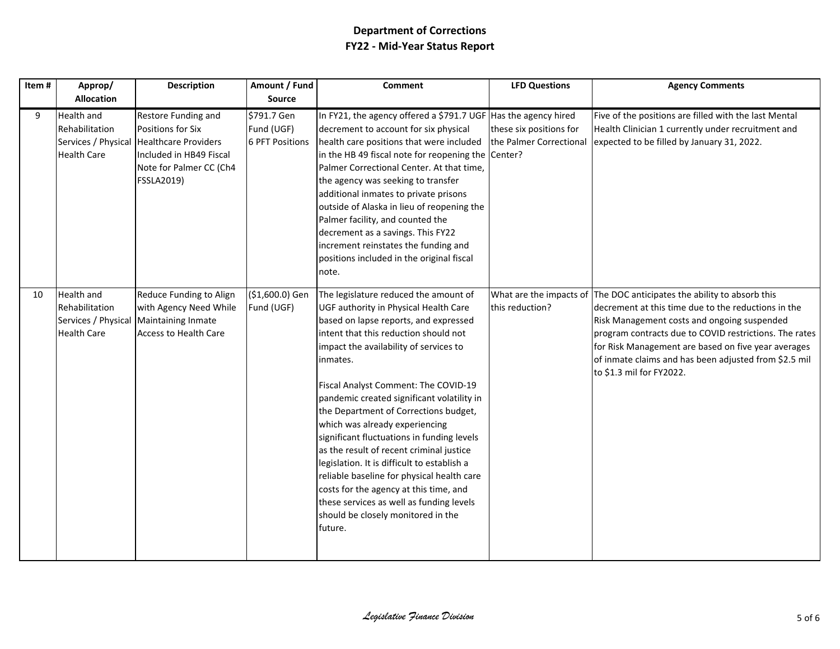| Item# | Approp/                                                                          | <b>Description</b>                                                                                                                                              | Amount / Fund                                       | <b>Comment</b>                                                                                                                                                                                                                                                                                                                                                                                                                                                                                                                                                                                                                                                                                                        | <b>LFD Questions</b>                               | <b>Agency Comments</b>                                                                                                                                                                                                                                                                                                                                     |
|-------|----------------------------------------------------------------------------------|-----------------------------------------------------------------------------------------------------------------------------------------------------------------|-----------------------------------------------------|-----------------------------------------------------------------------------------------------------------------------------------------------------------------------------------------------------------------------------------------------------------------------------------------------------------------------------------------------------------------------------------------------------------------------------------------------------------------------------------------------------------------------------------------------------------------------------------------------------------------------------------------------------------------------------------------------------------------------|----------------------------------------------------|------------------------------------------------------------------------------------------------------------------------------------------------------------------------------------------------------------------------------------------------------------------------------------------------------------------------------------------------------------|
|       | <b>Allocation</b>                                                                |                                                                                                                                                                 | <b>Source</b>                                       |                                                                                                                                                                                                                                                                                                                                                                                                                                                                                                                                                                                                                                                                                                                       |                                                    |                                                                                                                                                                                                                                                                                                                                                            |
| 9     | Health and<br>Rehabilitation<br><b>Health Care</b>                               | Restore Funding and<br>Positions for Six<br>Services / Physical Healthcare Providers<br>Included in HB49 Fiscal<br>Note for Palmer CC (Ch4<br><b>FSSLA2019)</b> | \$791.7 Gen<br>Fund (UGF)<br><b>6 PFT Positions</b> | In FY21, the agency offered a \$791.7 UGF Has the agency hired<br>decrement to account for six physical<br>health care positions that were included<br>in the HB 49 fiscal note for reopening the Center?<br>Palmer Correctional Center. At that time,<br>the agency was seeking to transfer<br>additional inmates to private prisons<br>outside of Alaska in lieu of reopening the<br>Palmer facility, and counted the<br>decrement as a savings. This FY22<br>increment reinstates the funding and<br>positions included in the original fiscal<br>note.                                                                                                                                                            | these six positions for<br>the Palmer Correctional | Five of the positions are filled with the last Mental<br>Health Clinician 1 currently under recruitment and<br>expected to be filled by January 31, 2022.                                                                                                                                                                                                  |
| 10    | <b>Health and</b><br>Rehabilitation<br>Services / Physical<br><b>Health Care</b> | Reduce Funding to Align<br>with Agency Need While<br>Maintaining Inmate<br><b>Access to Health Care</b>                                                         | (\$1,600.0) Gen<br>Fund (UGF)                       | The legislature reduced the amount of<br>UGF authority in Physical Health Care<br>based on lapse reports, and expressed<br>intent that this reduction should not<br>impact the availability of services to<br>inmates.<br>Fiscal Analyst Comment: The COVID-19<br>pandemic created significant volatility in<br>the Department of Corrections budget,<br>which was already experiencing<br>significant fluctuations in funding levels<br>as the result of recent criminal justice<br>legislation. It is difficult to establish a<br>reliable baseline for physical health care<br>costs for the agency at this time, and<br>these services as well as funding levels<br>should be closely monitored in the<br>future. | What are the impacts of<br>this reduction?         | The DOC anticipates the ability to absorb this<br>decrement at this time due to the reductions in the<br>Risk Management costs and ongoing suspended<br>program contracts due to COVID restrictions. The rates<br>for Risk Management are based on five year averages<br>of inmate claims and has been adjusted from \$2.5 mil<br>to \$1.3 mil for FY2022. |